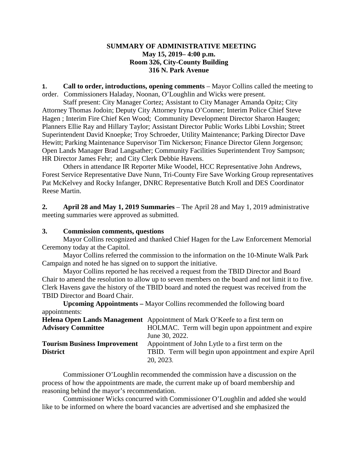#### **SUMMARY OF ADMINISTRATIVE MEETING May 15, 2019– 4:00 p.m. Room 326, City-County Building 316 N. Park Avenue**

**1. Call to order, introductions, opening comments** – Mayor Collins called the meeting to order. Commissioners Haladay, Noonan, O'Loughlin and Wicks were present.

Staff present: City Manager Cortez; Assistant to City Manager Amanda Opitz; City Attorney Thomas Jodoin; Deputy City Attorney Iryna O'Conner; Interim Police Chief Steve Hagen ; Interim Fire Chief Ken Wood; Community Development Director Sharon Haugen; Planners Ellie Ray and Hillary Taylor; Assistant Director Public Works Libbi Lovshin; Street Superintendent David Knoepke; Troy Schroeder, Utility Maintenance; Parking Director Dave Hewitt; Parking Maintenance Supervisor Tim Nickerson; Finance Director Glenn Jorgenson; Open Lands Manager Brad Langsather; Community Facilities Superintendent Troy Sampson; HR Director James Fehr; and City Clerk Debbie Havens.

Others in attendance IR Reporter Mike Woodel, HCC Representative John Andrews, Forest Service Representative Dave Nunn, Tri-County Fire Save Working Group representatives Pat McKelvey and Rocky Infanger, DNRC Representative Butch Kroll and DES Coordinator Reese Martin.

**2. April 28 and May 1, 2019 Summaries** – The April 28 and May 1, 2019 administrative meeting summaries were approved as submitted.

#### **3. Commission comments, questions**

Mayor Collins recognized and thanked Chief Hagen for the Law Enforcement Memorial Ceremony today at the Capitol.

Mayor Collins referred the commission to the information on the 10-Minute Walk Park Campaign and noted he has signed on to support the initiative.

Mayor Collins reported he has received a request from the TBID Director and Board Chair to amend the resolution to allow up to seven members on the board and not limit it to five. Clerk Havens gave the history of the TBID board and noted the request was received from the TBID Director and Board Chair.

**Upcoming Appointments –** Mayor Collins recommended the following board appointments:

|                                     | <b>Helena Open Lands Management</b> Appointment of Mark O'Keefe to a first term on |
|-------------------------------------|------------------------------------------------------------------------------------|
| <b>Advisory Committee</b>           | HOLMAC. Term will begin upon appointment and expire                                |
|                                     | June 30, 2022.                                                                     |
| <b>Tourism Business Improvement</b> | Appointment of John Lytle to a first term on the                                   |
| <b>District</b>                     | TBID. Term will begin upon appointment and expire April                            |
|                                     | 20, 2023.                                                                          |

Commissioner O'Loughlin recommended the commission have a discussion on the process of how the appointments are made, the current make up of board membership and reasoning behind the mayor's recommendation.

Commissioner Wicks concurred with Commissioner O'Loughlin and added she would like to be informed on where the board vacancies are advertised and she emphasized the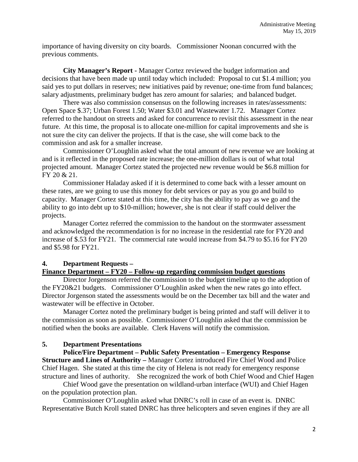importance of having diversity on city boards. Commissioner Noonan concurred with the previous comments.

**City Manager's Report -** Manager Cortez reviewed the budget information and decisions that have been made up until today which included: Proposal to cut \$1.4 million; you said yes to put dollars in reserves; new initiatives paid by revenue; one-time from fund balances; salary adjustments, preliminary budget has zero amount for salaries; and balanced budget.

There was also commission consensus on the following increases in rates/assessments: Open Space \$.37; Urban Forest 1.50; Water \$3.01 and Wastewater 1.72. Manager Cortez referred to the handout on streets and asked for concurrence to revisit this assessment in the near future. At this time, the proposal is to allocate one-million for capital improvements and she is not sure the city can deliver the projects. If that is the case, she will come back to the commission and ask for a smaller increase.

Commissioner O'Loughlin asked what the total amount of new revenue we are looking at and is it reflected in the proposed rate increase; the one-million dollars is out of what total projected amount. Manager Cortez stated the projected new revenue would be \$6.8 million for FY 20 & 21.

Commissioner Haladay asked if it is determined to come back with a lesser amount on these rates, are we going to use this money for debt services or pay as you go and build to capacity. Manager Cortez stated at this time, the city has the ability to pay as we go and the ability to go into debt up to \$10-million; however, she is not clear if staff could deliver the projects.

Manager Cortez referred the commission to the handout on the stormwater assessment and acknowledged the recommendation is for no increase in the residential rate for FY20 and increase of \$.53 for FY21. The commercial rate would increase from \$4.79 to \$5.16 for FY20 and \$5.98 for FY21.

# **4. Department Requests –**

# **Finance Department – FY20 – Follow-up regarding commission budget questions**

Director Jorgenson referred the commission to the budget timeline up to the adoption of the FY20&21 budgets. Commissioner O'Loughlin asked when the new rates go into effect. Director Jorgenson stated the assessments would be on the December tax bill and the water and wastewater will be effective in October.

Manager Cortez noted the preliminary budget is being printed and staff will deliver it to the commission as soon as possible. Commissioner O'Loughlin asked that the commission be notified when the books are available. Clerk Havens will notify the commission.

# **5. Department Presentations**

**Police/Fire Department – Public Safety Presentation – Emergency Response Structure and Lines of Authority –** Manager Cortez introduced Fire Chief Wood and Police Chief Hagen. She stated at this time the city of Helena is not ready for emergency response structure and lines of authority. She recognized the work of both Chief Wood and Chief Hagen

Chief Wood gave the presentation on wildland-urban interface (WUI) and Chief Hagen on the population protection plan.

Commissioner O'Loughlin asked what DNRC's roll in case of an event is. DNRC Representative Butch Kroll stated DNRC has three helicopters and seven engines if they are all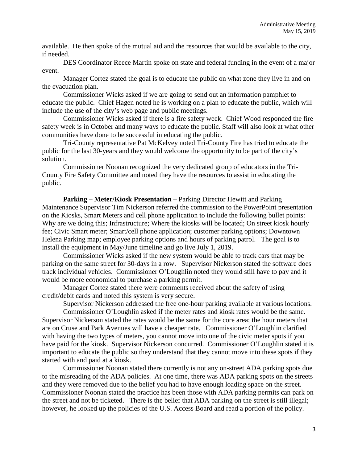available. He then spoke of the mutual aid and the resources that would be available to the city, if needed.

DES Coordinator Reece Martin spoke on state and federal funding in the event of a major event.

Manager Cortez stated the goal is to educate the public on what zone they live in and on the evacuation plan.

Commissioner Wicks asked if we are going to send out an information pamphlet to educate the public. Chief Hagen noted he is working on a plan to educate the public, which will include the use of the city's web page and public meetings.

Commissioner Wicks asked if there is a fire safety week. Chief Wood responded the fire safety week is in October and many ways to educate the public. Staff will also look at what other communities have done to be successful in educating the public.

Tri-County representative Pat McKelvey noted Tri-County Fire has tried to educate the public for the last 30-years and they would welcome the opportunity to be part of the city's solution.

Commissioner Noonan recognized the very dedicated group of educators in the Tri-County Fire Safety Committee and noted they have the resources to assist in educating the public.

**Parking – Meter/Kiosk Presentation –** Parking Director Hewitt and Parking Maintenance Supervisor Tim Nickerson referred the commission to the PowerPoint presentation on the Kiosks, Smart Meters and cell phone application to include the following bullet points: Why are we doing this; Infrastructure; Where the kiosks will be located; On street kiosk hourly fee; Civic Smart meter; Smart/cell phone application; customer parking options; Downtown Helena Parking map; employee parking options and hours of parking patrol. The goal is to install the equipment in May/June timeline and go live July 1, 2019.

Commissioner Wicks asked if the new system would be able to track cars that may be parking on the same street for 30-days in a row. Supervisor Nickerson stated the software does track individual vehicles. Commissioner O'Loughlin noted they would still have to pay and it would be more economical to purchase a parking permit.

Manager Cortez stated there were comments received about the safety of using credit/debit cards and noted this system is very secure.

Supervisor Nickerson addressed the free one-hour parking available at various locations.

Commissioner O'Loughlin asked if the meter rates and kiosk rates would be the same. Supervisor Nickerson stated the rates would be the same for the core area; the hour meters that are on Cruse and Park Avenues will have a cheaper rate. Commissioner O'Loughlin clarified with having the two types of meters, you cannot move into one of the civic meter spots if you have paid for the kiosk. Supervisor Nickerson concurred. Commissioner O'Loughlin stated it is important to educate the public so they understand that they cannot move into these spots if they started with and paid at a kiosk.

Commissioner Noonan stated there currently is not any on-street ADA parking spots due to the misreading of the ADA policies. At one time, there was ADA parking spots on the streets and they were removed due to the belief you had to have enough loading space on the street. Commissioner Noonan stated the practice has been those with ADA parking permits can park on the street and not be ticketed. There is the belief that ADA parking on the street is still illegal; however, he looked up the policies of the U.S. Access Board and read a portion of the policy.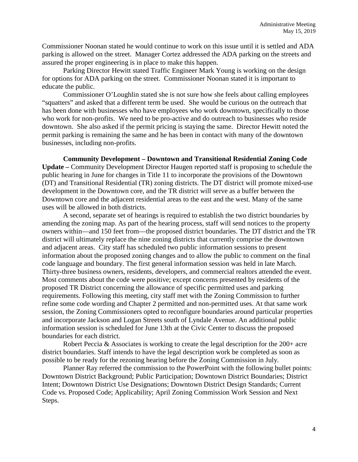Commissioner Noonan stated he would continue to work on this issue until it is settled and ADA parking is allowed on the street. Manager Cortez addressed the ADA parking on the streets and assured the proper engineering is in place to make this happen.

Parking Director Hewitt stated Traffic Engineer Mark Young is working on the design for options for ADA parking on the street. Commissioner Noonan stated it is important to educate the public.

Commissioner O'Loughlin stated she is not sure how she feels about calling employees "squatters" and asked that a different term be used. She would be curious on the outreach that has been done with businesses who have employees who work downtown, specifically to those who work for non-profits. We need to be pro-active and do outreach to businesses who reside downtown. She also asked if the permit pricing is staying the same. Director Hewitt noted the permit parking is remaining the same and he has been in contact with many of the downtown businesses, including non-profits.

**Community Development – Downtown and Transitional Residential Zoning Code Update –** Community Development Director Haugen reported staff is proposing to schedule the public hearing in June for changes in Title 11 to incorporate the provisions of the Downtown (DT) and Transitional Residential (TR) zoning districts. The DT district will promote mixed-use development in the Downtown core, and the TR district will serve as a buffer between the Downtown core and the adjacent residential areas to the east and the west. Many of the same uses will be allowed in both districts.

A second, separate set of hearings is required to establish the two district boundaries by amending the zoning map. As part of the hearing process, staff will send notices to the property owners within—and 150 feet from—the proposed district boundaries. The DT district and the TR district will ultimately replace the nine zoning districts that currently comprise the downtown and adjacent areas. City staff has scheduled two public information sessions to present information about the proposed zoning changes and to allow the public to comment on the final code language and boundary. The first general information session was held in late March. Thirty-three business owners, residents, developers, and commercial realtors attended the event. Most comments about the code were positive; except concerns presented by residents of the proposed TR District concerning the allowance of specific permitted uses and parking requirements. Following this meeting, city staff met with the Zoning Commission to further refine some code wording and Chapter 2 permitted and non-permitted uses. At that same work session, the Zoning Commissioners opted to reconfigure boundaries around particular properties and incorporate Jackson and Logan Streets south of Lyndale Avenue. An additional public information session is scheduled for June 13th at the Civic Center to discuss the proposed boundaries for each district.

Robert Peccia & Associates is working to create the legal description for the 200+ acre district boundaries. Staff intends to have the legal description work be completed as soon as possible to be ready for the rezoning hearing before the Zoning Commission in July.

Planner Ray referred the commission to the PowerPoint with the following bullet points: Downtown District Background; Public Participation; Downtown District Boundaries; District Intent; Downtown District Use Designations; Downtown District Design Standards; Current Code vs. Proposed Code; Applicability; April Zoning Commission Work Session and Next Steps.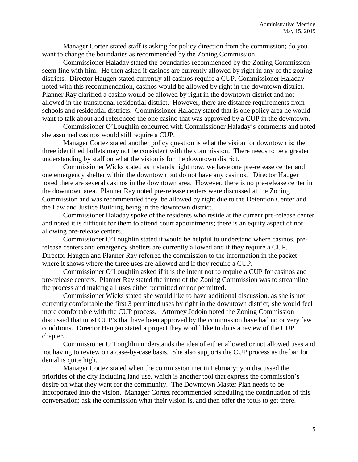Manager Cortez stated staff is asking for policy direction from the commission; do you want to change the boundaries as recommended by the Zoning Commission.

Commissioner Haladay stated the boundaries recommended by the Zoning Commission seem fine with him. He then asked if casinos are currently allowed by right in any of the zoning districts. Director Haugen stated currently all casinos require a CUP. Commissioner Haladay noted with this recommendation, casinos would be allowed by right in the downtown district. Planner Ray clarified a casino would be allowed by right in the downtown district and not allowed in the transitional residential district. However, there are distance requirements from schools and residential districts. Commissioner Haladay stated that is one policy area he would want to talk about and referenced the one casino that was approved by a CUP in the downtown.

Commissioner O'Loughlin concurred with Commissioner Haladay's comments and noted she assumed casinos would still require a CUP.

Manager Cortez stated another policy question is what the vision for downtown is; the three identified bullets may not be consistent with the commission. There needs to be a greater understanding by staff on what the vision is for the downtown district.

Commissioner Wicks stated as it stands right now, we have one pre-release center and one emergency shelter within the downtown but do not have any casinos. Director Haugen noted there are several casinos in the downtown area. However, there is no pre-release center in the downtown area. Planner Ray noted pre-release centers were discussed at the Zoning Commission and was recommended they be allowed by right due to the Detention Center and the Law and Justice Building being in the downtown district.

Commissioner Haladay spoke of the residents who reside at the current pre-release center and noted it is difficult for them to attend court appointments; there is an equity aspect of not allowing pre-release centers.

Commissioner O'Loughlin stated it would be helpful to understand where casinos, prerelease centers and emergency shelters are currently allowed and if they require a CUP. Director Haugen and Planner Ray referred the commission to the information in the packet where it shows where the three uses are allowed and if they require a CUP.

Commissioner O'Loughlin asked if it is the intent not to require a CUP for casinos and pre-release centers. Planner Ray stated the intent of the Zoning Commission was to streamline the process and making all uses either permitted or nor permitted.

Commissioner Wicks stated she would like to have additional discussion, as she is not currently comfortable the first 3 permitted uses by right in the downtown district; she would feel more comfortable with the CUP process. Attorney Jodoin noted the Zoning Commission discussed that most CUP's that have been approved by the commission have had no or very few conditions. Director Haugen stated a project they would like to do is a review of the CUP chapter.

Commissioner O'Loughlin understands the idea of either allowed or not allowed uses and not having to review on a case-by-case basis. She also supports the CUP process as the bar for denial is quite high.

Manager Cortez stated when the commission met in February; you discussed the priorities of the city including land use, which is another tool that express the commission's desire on what they want for the community. The Downtown Master Plan needs to be incorporated into the vision. Manager Cortez recommended scheduling the continuation of this conversation; ask the commission what their vision is, and then offer the tools to get there.